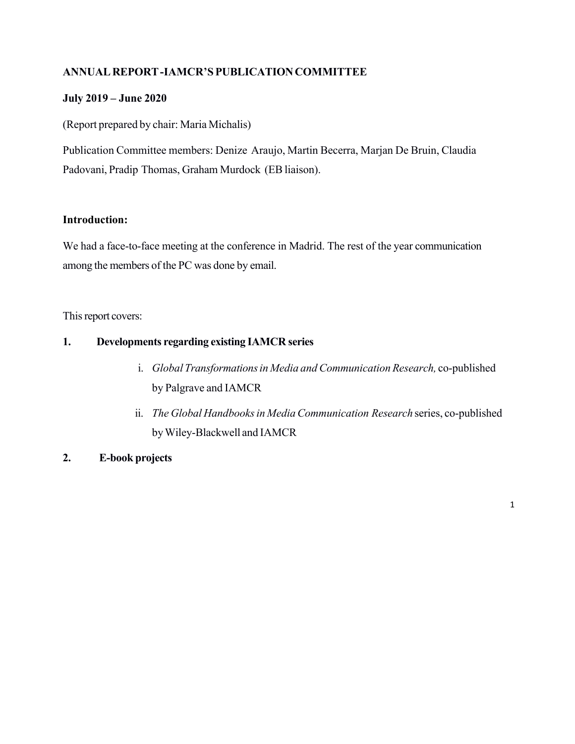### **ANNUALREPORT-IAMCR'S PUBLICATIONCOMMITTEE**

### **July 2019 – June 2020**

(Report prepared by chair: Maria Michalis)

Publication Committee members: Denize Araujo, Martin Becerra, Marjan De Bruin, Claudia Padovani, Pradip Thomas, Graham Murdock (EBliaison).

### **Introduction:**

We had a face-to-face meeting at the conference in Madrid. The rest of the year communication among the members of the PC was done by email.

This report covers:

### **1. Developments regarding existing IAMCR series**

- i. *Global Transformationsin Media and Communication Research,* co-published by Palgrave and IAMCR
- ii. *The Global Handbooksin MediaCommunication Research* series, co-published byWiley-Blackwell and IAMCR
- **2. E-book projects**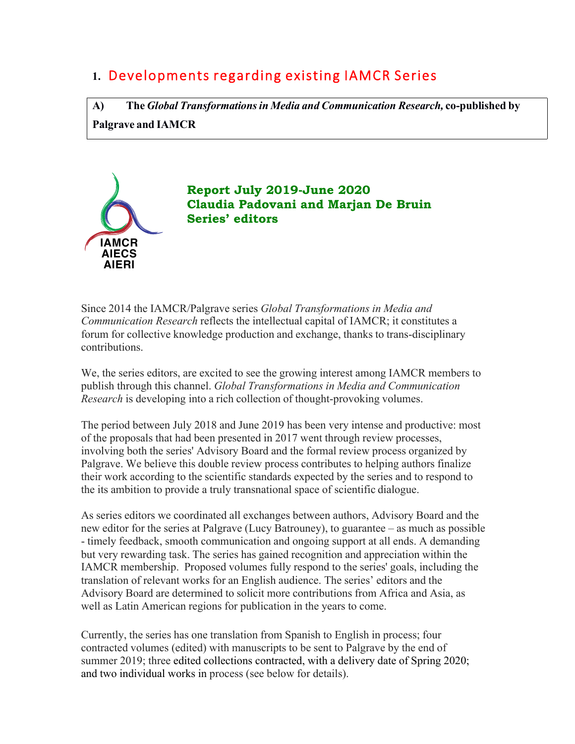# **1.** Developments regarding existing IAMCR Series

**A) The** *Global Transformationsin Media and Communication Research,* **co-published by Palgrave and IAMCR**



**Report July 2019-June 2020 Claudia Padovani and Marjan De Bruin Series' editors**

Since 2014 the IAMCR/Palgrave series *Global Transformations in Media and Communication Research* reflects the intellectual capital of IAMCR; it constitutes a forum for collective knowledge production and exchange, thanks to trans-disciplinary contributions.

We, the series editors, are excited to see the growing interest among IAMCR members to publish through this channel. *Global Transformations in Media and Communication Research* is developing into a rich collection of thought-provoking volumes.

The period between July 2018 and June 2019 has been very intense and productive: most of the proposals that had been presented in 2017 went through review processes, involving both the series' Advisory Board and the formal review process organized by Palgrave. We believe this double review process contributes to helping authors finalize their work according to the scientific standards expected by the series and to respond to the its ambition to provide a truly transnational space of scientific dialogue.

As series editors we coordinated all exchanges between authors, Advisory Board and the new editor for the series at Palgrave (Lucy Batrouney), to guarantee – as much as possible - timely feedback, smooth communication and ongoing support at all ends. A demanding but very rewarding task. The series has gained recognition and appreciation within the IAMCR membership. Proposed volumes fully respond to the series' goals, including the translation of relevant works for an English audience. The series' editors and the Advisory Board are determined to solicit more contributions from Africa and Asia, as well as Latin American regions for publication in the years to come.

Currently, the series has one translation from Spanish to English in process; four contracted volumes (edited) with manuscripts to be sent to Palgrave by the end of summer 2019; three edited collections contracted, with a delivery date of Spring 2020; and two individual works in process (see below for details).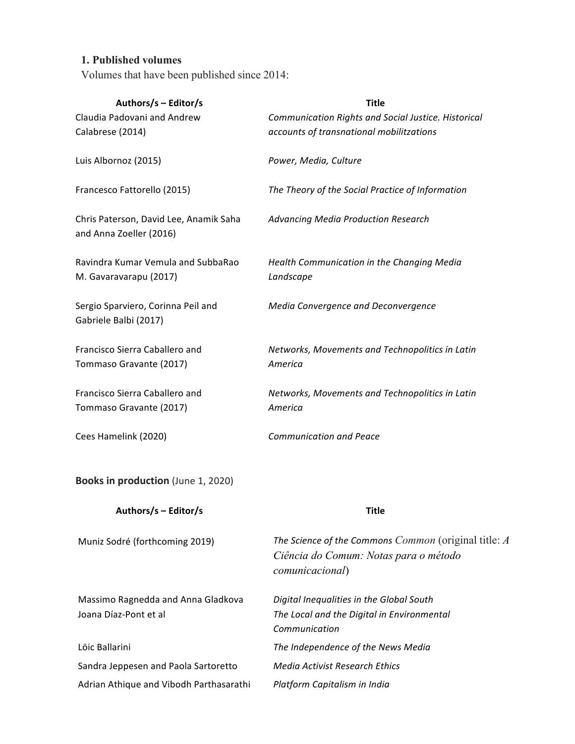### **1. Published volumes**

Volumes that have been published since 2014:

| Authors/s - Editor/s<br>Claudia Padovani and Andrew<br>Calabrese (2014) | <b>Title</b><br>Communication Rights and Social Justice. Historical<br>accounts of transnational mobilitzations  |
|-------------------------------------------------------------------------|------------------------------------------------------------------------------------------------------------------|
| Luis Albornoz (2015)                                                    | Power, Media, Culture                                                                                            |
| Francesco Fattorello (2015)                                             | The Theory of the Social Practice of Information                                                                 |
| Chris Paterson, David Lee, Anamik Saha<br>and Anna Zoeller (2016)       | Advancing Media Production Research                                                                              |
| Ravindra Kumar Vemula and SubbaRao<br>M. Gavaravarapu (2017)            | Health Communication in the Changing Media<br>Landscape                                                          |
| Sergio Sparviero, Corinna Peil and<br>Gabriele Balbi (2017)             | Media Convergence and Deconvergence                                                                              |
| Francisco Sierra Caballero and<br>Tommaso Gravante (2017)               | Networks, Movements and Technopolitics in Latin<br>America                                                       |
| Francisco Sierra Caballero and<br>Tommaso Gravante (2017)               | Networks, Movements and Technopolitics in Latin<br>America                                                       |
| Cees Hamelink (2020)                                                    | <b>Communication and Peace</b>                                                                                   |
| Books in production (June 1, 2020)                                      |                                                                                                                  |
| Authors/s - Editor/s                                                    | <b>Title</b>                                                                                                     |
| Muniz Sodré (forthcoming 2019)                                          | The Science of the Commons Common (original title: A<br>Ciência do Comum: Notas para o método<br>comunicacional) |
| Massimo Ragnedda and Anna Gladkova<br>Joana Díaz-Pont et al             | Digital Inequalities in the Global South<br>The Local and the Digital in Environmental<br>Communication          |
| Löic Ballarini                                                          | The Independence of the News Media                                                                               |
| Sandra Jeppesen and Paola Sartoretto                                    | <b>Media Activist Research Ethics</b>                                                                            |
| Adrian Athique and Vibodh Parthasarathi                                 | Platform Capitalism in India                                                                                     |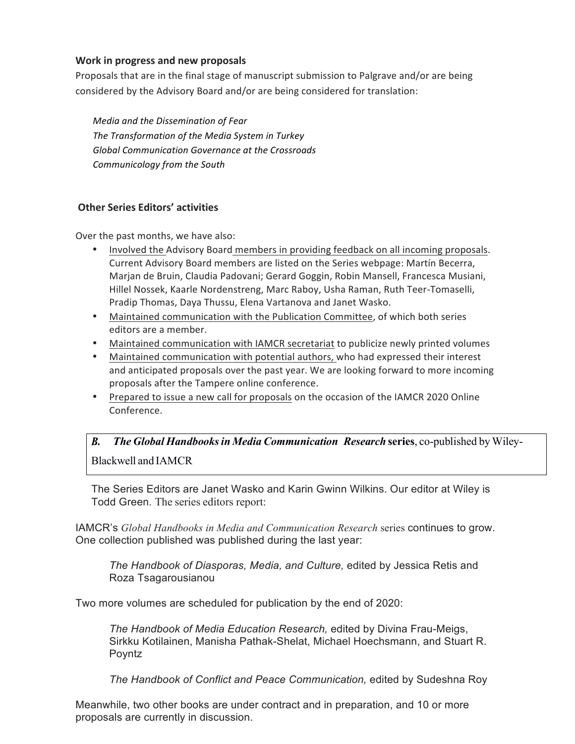#### **Work in progress and new proposals**

Proposals that are in the final stage of manuscript submission to Palgrave and/or are being considered by the Advisory Board and/or are being considered for translation:

*Media and the Dissemination of Fear The Transformation of the Media System in Turkey Global Communication Governance at the Crossroads Communicology from the South*

### **Other Series Editors' activities**

Over the past months, we have also:

- Involved the Advisory Board members in providing feedback on all incoming proposals. Current Advisory Board members are listed on the Series webpage: Martín Becerra, Marjan de Bruin, Claudia Padovani; Gerard Goggin, Robin Mansell, Francesca Musiani, Hillel Nossek, Kaarle Nordenstreng, Marc Raboy, Usha Raman, Ruth Teer-Tomaselli, Pradip Thomas, Daya Thussu, Elena Vartanova and Janet Wasko.
- Maintained communication with the Publication Committee, of which both series editors are a member.
- Maintained communication with IAMCR secretariat to publicize newly printed volumes
- Maintained communication with potential authors, who had expressed their interest and anticipated proposals over the past year. We are looking forward to more incoming proposals after the Tampere online conference.
- Prepared to issue a new call for proposals on the occasion of the IAMCR 2020 Online Conference.

#### $R_{\cdot}$ *The Global Handbooksin Media Communication Research* **series**, co-published by Wiley-Blackwell and IAMCR

The Series Editors are Janet Wasko and Karin Gwinn Wilkins. Our editor at Wiley is Todd Green. The series editors report:

IAMCR's *Global Handbooks in Media and Communication Research* series continues to grow. One collection published was published during the last year:

*The Handbook of Diasporas, Media, and Culture,* edited by Jessica Retis and Roza Tsagarousianou

Two more volumes are scheduled for publication by the end of 2020:

*The Handbook of Media Education Research,* edited by Divina Frau-Meigs, Sirkku Kotilainen, Manisha Pathak-Shelat, Michael Hoechsmann, and Stuart R. Poyntz

*The Handbook of Conflict and Peace Communication,* edited by Sudeshna Roy

Meanwhile, two other books are under contract and in preparation, and 10 or more proposals are currently in discussion.